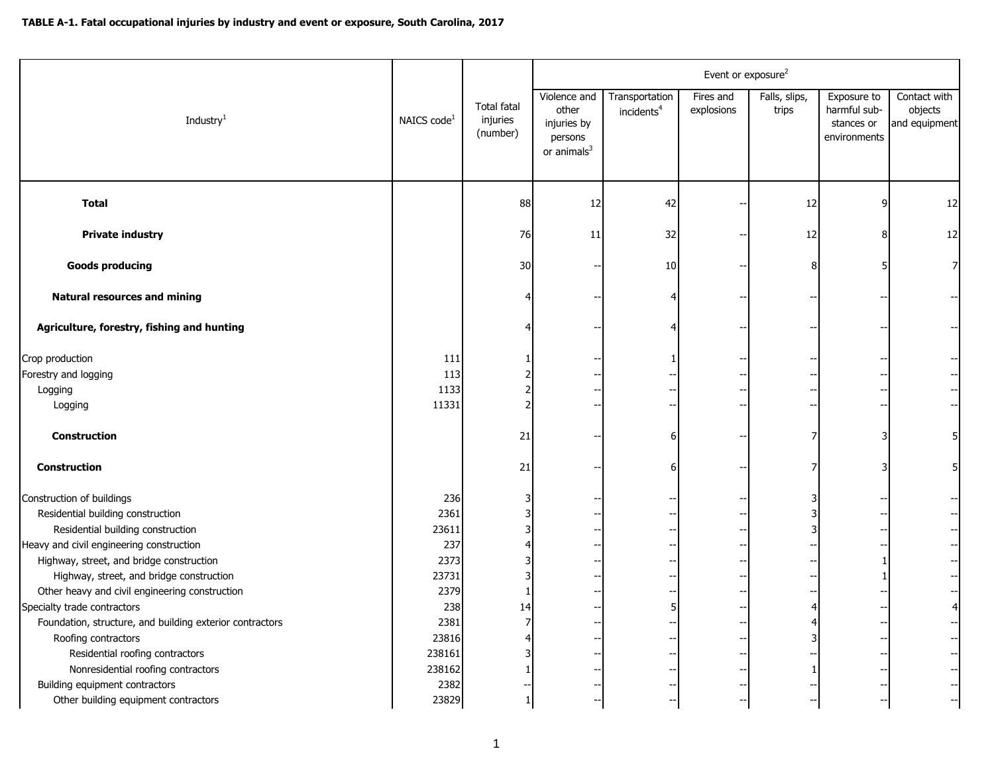|                                                          |                         |                                            | Event or exposure <sup>2</sup>                                             |                                          |                         |                        |                                                           |                                          |  |
|----------------------------------------------------------|-------------------------|--------------------------------------------|----------------------------------------------------------------------------|------------------------------------------|-------------------------|------------------------|-----------------------------------------------------------|------------------------------------------|--|
| Industry $1$                                             | NAICS code <sup>1</sup> | <b>Total fatal</b><br>injuries<br>(number) | Violence and<br>other<br>injuries by<br>persons<br>or animals <sup>3</sup> | Transportation<br>incidents <sup>4</sup> | Fires and<br>explosions | Falls, slips,<br>trips | Exposure to<br>harmful sub-<br>stances or<br>environments | Contact with<br>objects<br>and equipment |  |
| <b>Total</b>                                             |                         | 88                                         | 12                                                                         | 42                                       |                         | 12                     | q                                                         | 12                                       |  |
| <b>Private industry</b>                                  |                         | 76                                         | 11                                                                         | 32                                       |                         | 12                     | 8                                                         | 12                                       |  |
| <b>Goods producing</b>                                   |                         | 30                                         |                                                                            | 10                                       |                         | 8                      |                                                           | $\overline{7}$                           |  |
| <b>Natural resources and mining</b>                      |                         |                                            |                                                                            |                                          |                         |                        |                                                           |                                          |  |
| Agriculture, forestry, fishing and hunting               |                         |                                            |                                                                            |                                          |                         |                        |                                                           |                                          |  |
| Crop production                                          | 111                     |                                            |                                                                            |                                          |                         |                        |                                                           |                                          |  |
| Forestry and logging                                     | 113                     |                                            |                                                                            |                                          |                         |                        |                                                           | $-$                                      |  |
| Logging                                                  | 1133                    |                                            |                                                                            |                                          |                         |                        |                                                           |                                          |  |
| Logging                                                  | 11331                   |                                            |                                                                            |                                          |                         |                        |                                                           |                                          |  |
| <b>Construction</b>                                      |                         | 21                                         |                                                                            |                                          |                         |                        |                                                           | 5 <sup>1</sup>                           |  |
| <b>Construction</b>                                      |                         | 21                                         |                                                                            |                                          |                         |                        |                                                           | 5 <sub>l</sub>                           |  |
| Construction of buildings                                | 236                     |                                            |                                                                            |                                          |                         |                        |                                                           |                                          |  |
| Residential building construction                        | 2361                    |                                            |                                                                            |                                          |                         |                        |                                                           |                                          |  |
| Residential building construction                        | 23611                   |                                            |                                                                            |                                          |                         | 3                      |                                                           |                                          |  |
| Heavy and civil engineering construction                 | 237                     |                                            |                                                                            |                                          |                         |                        |                                                           | $\left  - \right $                       |  |
| Highway, street, and bridge construction                 | 2373                    |                                            |                                                                            |                                          |                         |                        |                                                           | $\left  - \right $                       |  |
| Highway, street, and bridge construction                 | 23731                   |                                            |                                                                            |                                          |                         |                        |                                                           | --1                                      |  |
| Other heavy and civil engineering construction           | 2379                    |                                            |                                                                            |                                          |                         |                        |                                                           |                                          |  |
| Specialty trade contractors                              | 238                     | 14                                         |                                                                            |                                          |                         |                        |                                                           | $\overline{4}$                           |  |
| Foundation, structure, and building exterior contractors | 2381                    |                                            |                                                                            |                                          |                         |                        |                                                           |                                          |  |
| Roofing contractors                                      | 23816                   |                                            |                                                                            |                                          |                         |                        |                                                           |                                          |  |
| Residential roofing contractors                          | 238161                  |                                            |                                                                            |                                          |                         |                        |                                                           | $\left  - \right $                       |  |
| Nonresidential roofing contractors                       | 238162                  |                                            |                                                                            |                                          |                         |                        |                                                           |                                          |  |
| Building equipment contractors                           | 2382                    |                                            |                                                                            |                                          |                         |                        |                                                           |                                          |  |
| Other building equipment contractors                     | 23829                   |                                            |                                                                            |                                          |                         |                        |                                                           | $\overline{\phantom{a}}$                 |  |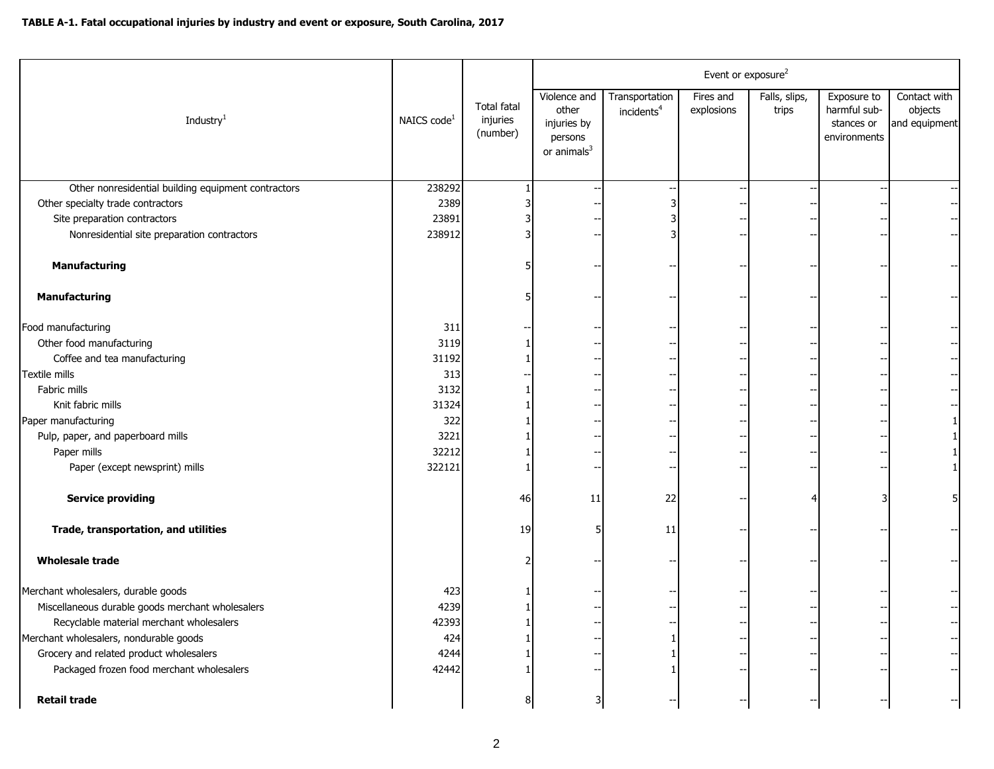|                                                     |                         |                                            | Event or exposure <sup>2</sup>                                     |                                          |                         |                        |                                                           |                                          |  |  |
|-----------------------------------------------------|-------------------------|--------------------------------------------|--------------------------------------------------------------------|------------------------------------------|-------------------------|------------------------|-----------------------------------------------------------|------------------------------------------|--|--|
| Industry <sup>1</sup>                               | NAICS code <sup>1</sup> | <b>Total fatal</b><br>injuries<br>(number) | Violence and<br>other<br>injuries by<br>persons<br>or animals $^3$ | Transportation<br>incidents <sup>4</sup> | Fires and<br>explosions | Falls, slips,<br>trips | Exposure to<br>harmful sub-<br>stances or<br>environments | Contact with<br>objects<br>and equipment |  |  |
| Other nonresidential building equipment contractors | 238292                  |                                            |                                                                    |                                          |                         |                        |                                                           | $-$                                      |  |  |
| Other specialty trade contractors                   | 2389                    |                                            |                                                                    |                                          |                         |                        |                                                           |                                          |  |  |
| Site preparation contractors                        | 23891                   |                                            |                                                                    |                                          |                         |                        |                                                           |                                          |  |  |
| Nonresidential site preparation contractors         | 238912                  |                                            |                                                                    |                                          |                         |                        |                                                           |                                          |  |  |
| <b>Manufacturing</b>                                |                         |                                            |                                                                    |                                          |                         |                        |                                                           |                                          |  |  |
| Manufacturing                                       |                         |                                            |                                                                    |                                          |                         |                        |                                                           |                                          |  |  |
| Food manufacturing                                  | 311                     |                                            |                                                                    |                                          |                         |                        |                                                           |                                          |  |  |
| Other food manufacturing                            | 3119                    |                                            |                                                                    |                                          |                         |                        |                                                           |                                          |  |  |
| Coffee and tea manufacturing                        | 31192                   |                                            |                                                                    |                                          |                         |                        |                                                           |                                          |  |  |
| Textile mills                                       | 313                     |                                            |                                                                    |                                          |                         |                        |                                                           |                                          |  |  |
| Fabric mills                                        | 3132                    |                                            |                                                                    |                                          |                         |                        |                                                           |                                          |  |  |
| Knit fabric mills                                   | 31324                   |                                            |                                                                    |                                          |                         |                        |                                                           |                                          |  |  |
| Paper manufacturing                                 | 322                     |                                            |                                                                    |                                          |                         |                        |                                                           |                                          |  |  |
| Pulp, paper, and paperboard mills                   | 3221                    |                                            |                                                                    |                                          |                         |                        |                                                           |                                          |  |  |
| Paper mills                                         | 32212                   |                                            |                                                                    |                                          |                         |                        |                                                           |                                          |  |  |
| Paper (except newsprint) mills                      | 322121                  |                                            |                                                                    |                                          |                         |                        |                                                           |                                          |  |  |
| <b>Service providing</b>                            |                         | 46                                         | 11                                                                 | 22                                       |                         |                        |                                                           |                                          |  |  |
| Trade, transportation, and utilities                |                         | 19                                         |                                                                    | 11                                       |                         |                        |                                                           |                                          |  |  |
| <b>Wholesale trade</b>                              |                         |                                            |                                                                    |                                          |                         |                        |                                                           |                                          |  |  |
| Merchant wholesalers, durable goods                 | 423                     |                                            |                                                                    |                                          |                         |                        |                                                           |                                          |  |  |
| Miscellaneous durable goods merchant wholesalers    | 4239                    |                                            |                                                                    |                                          |                         |                        |                                                           |                                          |  |  |
| Recyclable material merchant wholesalers            | 42393                   |                                            |                                                                    |                                          |                         |                        |                                                           |                                          |  |  |
| Merchant wholesalers, nondurable goods              | 424                     |                                            |                                                                    |                                          |                         |                        |                                                           |                                          |  |  |
| Grocery and related product wholesalers             | 4244                    |                                            |                                                                    |                                          |                         |                        |                                                           |                                          |  |  |
| Packaged frozen food merchant wholesalers           | 42442                   |                                            |                                                                    |                                          |                         |                        |                                                           |                                          |  |  |
| <b>Retail trade</b>                                 |                         |                                            | 3                                                                  |                                          |                         |                        |                                                           |                                          |  |  |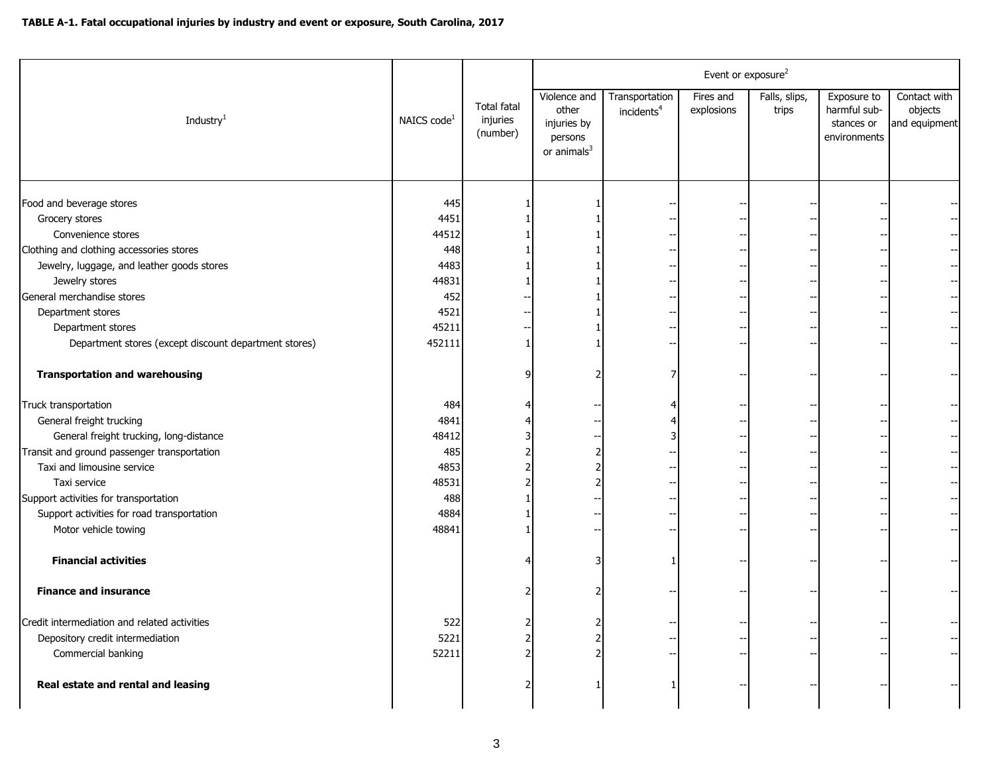|                                                       | Event or exposure <sup>2</sup> |                                            |                                                                   |                                          |                         |                        |                                                           |                                          |
|-------------------------------------------------------|--------------------------------|--------------------------------------------|-------------------------------------------------------------------|------------------------------------------|-------------------------|------------------------|-----------------------------------------------------------|------------------------------------------|
| Industry $1$                                          | NAICS code <sup>1</sup>        | <b>Total fatal</b><br>injuries<br>(number) | Violence and<br>other<br>injuries by<br>persons<br>or animals $3$ | Transportation<br>incidents <sup>4</sup> | Fires and<br>explosions | Falls, slips,<br>trips | Exposure to<br>harmful sub-<br>stances or<br>environments | Contact with<br>objects<br>and equipment |
|                                                       |                                |                                            |                                                                   |                                          |                         |                        |                                                           |                                          |
| Food and beverage stores                              | 445                            |                                            |                                                                   |                                          |                         |                        |                                                           |                                          |
| Grocery stores                                        | 4451                           |                                            |                                                                   |                                          |                         |                        |                                                           |                                          |
| Convenience stores                                    | 44512                          |                                            |                                                                   |                                          |                         |                        |                                                           |                                          |
| Clothing and clothing accessories stores              | 448                            |                                            |                                                                   |                                          |                         |                        |                                                           |                                          |
| Jewelry, luggage, and leather goods stores            | 4483                           |                                            |                                                                   |                                          |                         |                        |                                                           |                                          |
| Jewelry stores                                        | 44831                          |                                            |                                                                   |                                          |                         |                        |                                                           |                                          |
| General merchandise stores                            | 452                            |                                            |                                                                   |                                          |                         |                        |                                                           |                                          |
| Department stores                                     | 4521                           |                                            |                                                                   |                                          |                         |                        |                                                           |                                          |
| Department stores                                     | 45211                          |                                            |                                                                   |                                          |                         |                        |                                                           |                                          |
| Department stores (except discount department stores) | 452111                         |                                            |                                                                   |                                          |                         |                        |                                                           |                                          |
| <b>Transportation and warehousing</b>                 |                                |                                            |                                                                   |                                          |                         |                        |                                                           |                                          |
| Truck transportation                                  | 484                            |                                            |                                                                   |                                          |                         |                        |                                                           |                                          |
| General freight trucking                              | 4841                           |                                            |                                                                   |                                          |                         |                        |                                                           |                                          |
| General freight trucking, long-distance               | 48412                          |                                            |                                                                   |                                          |                         |                        |                                                           |                                          |
| Transit and ground passenger transportation           | 485                            |                                            | っ                                                                 |                                          |                         |                        |                                                           |                                          |
| Taxi and limousine service                            | 4853                           |                                            |                                                                   |                                          |                         |                        |                                                           |                                          |
| Taxi service                                          | 48531                          |                                            |                                                                   |                                          |                         |                        |                                                           |                                          |
| Support activities for transportation                 | 488                            |                                            |                                                                   |                                          |                         |                        |                                                           |                                          |
| Support activities for road transportation            | 4884                           |                                            |                                                                   |                                          |                         |                        |                                                           |                                          |
| Motor vehicle towing                                  | 48841                          |                                            |                                                                   |                                          |                         |                        |                                                           |                                          |
| <b>Financial activities</b>                           |                                |                                            |                                                                   |                                          |                         |                        |                                                           |                                          |
| <b>Finance and insurance</b>                          |                                |                                            |                                                                   |                                          |                         |                        |                                                           |                                          |
| Credit intermediation and related activities          | 522                            |                                            |                                                                   |                                          |                         |                        |                                                           |                                          |
| Depository credit intermediation                      | 5221                           |                                            |                                                                   |                                          |                         |                        |                                                           |                                          |
| Commercial banking                                    | 52211                          |                                            |                                                                   |                                          |                         |                        |                                                           |                                          |
| Real estate and rental and leasing                    |                                |                                            |                                                                   |                                          |                         |                        |                                                           |                                          |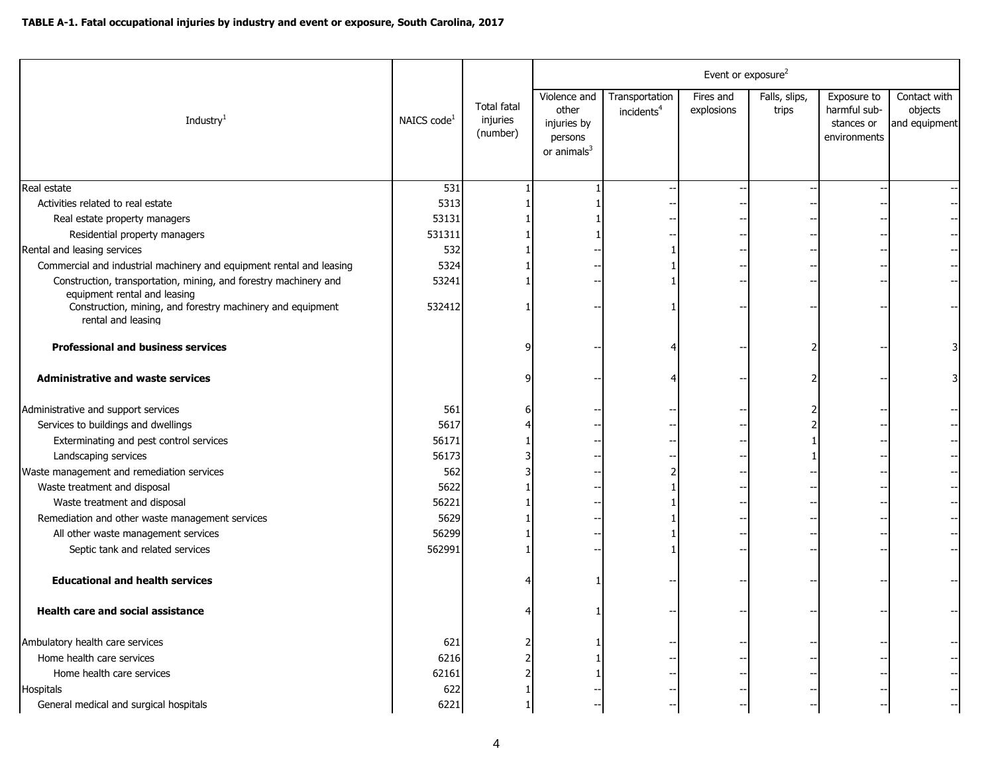|                                                                                                  |                         |                                            | Event or exposure <sup>2</sup>                                    |                                          |                         |                        |                                                           |                                          |  |
|--------------------------------------------------------------------------------------------------|-------------------------|--------------------------------------------|-------------------------------------------------------------------|------------------------------------------|-------------------------|------------------------|-----------------------------------------------------------|------------------------------------------|--|
| Industry <sup>1</sup>                                                                            | NAICS code <sup>1</sup> | <b>Total fatal</b><br>injuries<br>(number) | Violence and<br>other<br>injuries by<br>persons<br>or animals $3$ | Transportation<br>incidents <sup>4</sup> | Fires and<br>explosions | Falls, slips,<br>trips | Exposure to<br>harmful sub-<br>stances or<br>environments | Contact with<br>objects<br>and equipment |  |
| Real estate                                                                                      | $\overline{531}$        |                                            |                                                                   |                                          |                         |                        |                                                           |                                          |  |
| Activities related to real estate                                                                | 5313                    |                                            |                                                                   |                                          |                         |                        |                                                           |                                          |  |
| Real estate property managers                                                                    | 53131                   |                                            |                                                                   |                                          |                         |                        |                                                           |                                          |  |
| Residential property managers                                                                    | 531311                  |                                            |                                                                   |                                          |                         |                        |                                                           |                                          |  |
| Rental and leasing services                                                                      | 532                     |                                            |                                                                   |                                          |                         |                        |                                                           |                                          |  |
| Commercial and industrial machinery and equipment rental and leasing                             | 5324                    |                                            |                                                                   |                                          |                         |                        |                                                           |                                          |  |
| Construction, transportation, mining, and forestry machinery and<br>equipment rental and leasing | 53241                   |                                            |                                                                   |                                          |                         |                        |                                                           |                                          |  |
| Construction, mining, and forestry machinery and equipment<br>rental and leasing                 | 532412                  |                                            |                                                                   |                                          |                         |                        |                                                           |                                          |  |
| <b>Professional and business services</b>                                                        |                         |                                            |                                                                   |                                          |                         |                        |                                                           |                                          |  |
| <b>Administrative and waste services</b>                                                         |                         |                                            |                                                                   |                                          |                         |                        |                                                           | 31                                       |  |
| Administrative and support services                                                              | 561                     |                                            |                                                                   |                                          |                         |                        |                                                           |                                          |  |
| Services to buildings and dwellings                                                              | 5617                    |                                            |                                                                   |                                          |                         |                        |                                                           |                                          |  |
| Exterminating and pest control services                                                          | 56171                   |                                            |                                                                   |                                          |                         |                        |                                                           |                                          |  |
| Landscaping services                                                                             | 56173                   |                                            |                                                                   |                                          |                         |                        |                                                           |                                          |  |
| Waste management and remediation services                                                        | 562                     |                                            |                                                                   |                                          |                         |                        |                                                           |                                          |  |
| Waste treatment and disposal                                                                     | 5622                    |                                            |                                                                   |                                          |                         |                        |                                                           |                                          |  |
| Waste treatment and disposal                                                                     | 56221                   |                                            |                                                                   |                                          |                         |                        |                                                           |                                          |  |
| Remediation and other waste management services                                                  | 5629                    |                                            |                                                                   |                                          |                         |                        |                                                           |                                          |  |
| All other waste management services                                                              | 56299                   |                                            |                                                                   |                                          |                         |                        |                                                           |                                          |  |
| Septic tank and related services                                                                 | 562991                  |                                            |                                                                   |                                          |                         |                        |                                                           |                                          |  |
| <b>Educational and health services</b>                                                           |                         |                                            |                                                                   |                                          |                         |                        |                                                           |                                          |  |
| Health care and social assistance                                                                |                         |                                            |                                                                   |                                          |                         |                        |                                                           |                                          |  |
| Ambulatory health care services                                                                  | 621                     |                                            |                                                                   |                                          |                         |                        |                                                           |                                          |  |
| Home health care services                                                                        | 6216                    |                                            |                                                                   |                                          |                         |                        |                                                           |                                          |  |
| Home health care services                                                                        | 62161                   |                                            |                                                                   |                                          |                         |                        |                                                           |                                          |  |
| Hospitals                                                                                        | 622                     |                                            |                                                                   |                                          |                         |                        |                                                           |                                          |  |
| General medical and surgical hospitals                                                           | 6221                    |                                            |                                                                   |                                          |                         |                        |                                                           |                                          |  |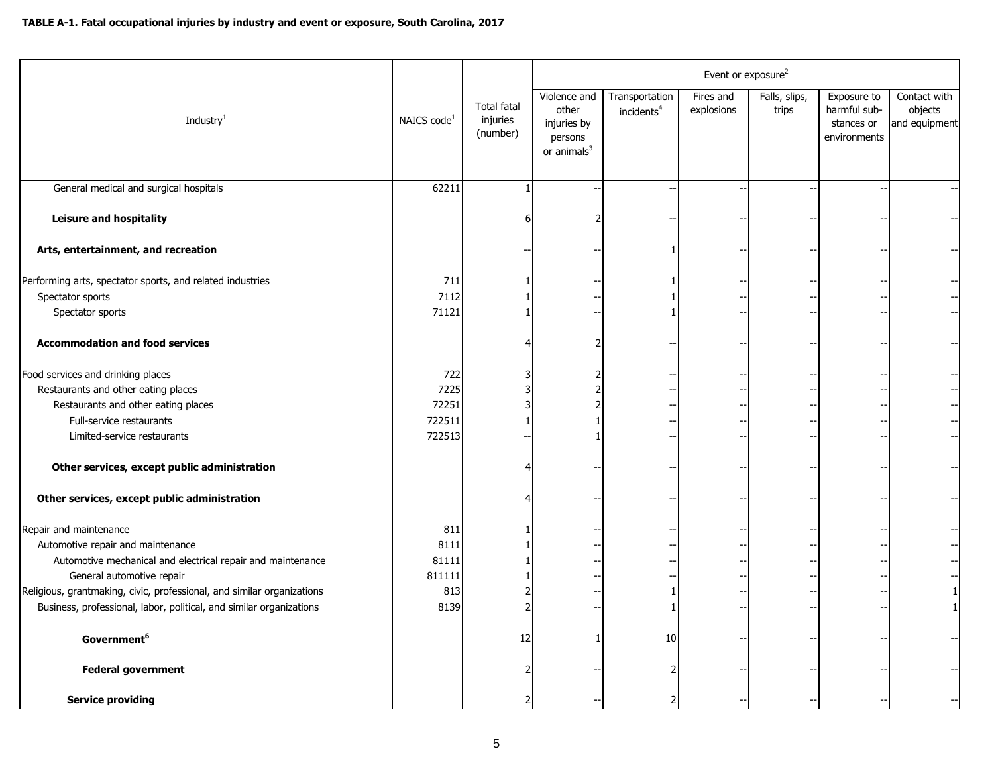|                                                                        |                         |                                            | Event or exposure <sup>2</sup>                                   |                                          |                         |                        |                                                           |                                          |  |
|------------------------------------------------------------------------|-------------------------|--------------------------------------------|------------------------------------------------------------------|------------------------------------------|-------------------------|------------------------|-----------------------------------------------------------|------------------------------------------|--|
| Industry <sup>1</sup>                                                  | NAICS code <sup>1</sup> | <b>Total fatal</b><br>injuries<br>(number) | Violence and<br>other<br>injuries by<br>persons<br>or $animals3$ | Transportation<br>incidents <sup>4</sup> | Fires and<br>explosions | Falls, slips,<br>trips | Exposure to<br>harmful sub-<br>stances or<br>environments | Contact with<br>objects<br>and equipment |  |
| General medical and surgical hospitals                                 | 62211                   |                                            |                                                                  |                                          |                         |                        |                                                           |                                          |  |
| <b>Leisure and hospitality</b>                                         |                         |                                            |                                                                  |                                          |                         |                        |                                                           |                                          |  |
| Arts, entertainment, and recreation                                    |                         |                                            |                                                                  |                                          |                         |                        |                                                           |                                          |  |
| Performing arts, spectator sports, and related industries              | 711                     |                                            |                                                                  |                                          |                         |                        |                                                           |                                          |  |
| Spectator sports                                                       | 7112                    |                                            |                                                                  |                                          |                         |                        |                                                           |                                          |  |
| Spectator sports                                                       | 71121                   |                                            |                                                                  |                                          |                         |                        |                                                           |                                          |  |
| <b>Accommodation and food services</b>                                 |                         |                                            |                                                                  |                                          |                         |                        |                                                           |                                          |  |
| Food services and drinking places                                      | 722                     |                                            |                                                                  |                                          |                         |                        |                                                           |                                          |  |
| Restaurants and other eating places                                    | 7225                    |                                            |                                                                  |                                          |                         |                        |                                                           |                                          |  |
| Restaurants and other eating places                                    | 72251                   |                                            |                                                                  |                                          |                         |                        |                                                           |                                          |  |
| Full-service restaurants                                               | 722511                  |                                            |                                                                  |                                          |                         |                        |                                                           |                                          |  |
| Limited-service restaurants                                            | 722513                  |                                            |                                                                  |                                          |                         |                        |                                                           |                                          |  |
| Other services, except public administration                           |                         |                                            |                                                                  |                                          |                         |                        |                                                           |                                          |  |
| Other services, except public administration                           |                         |                                            |                                                                  |                                          |                         |                        |                                                           |                                          |  |
| Repair and maintenance                                                 | 811                     |                                            |                                                                  |                                          |                         |                        |                                                           |                                          |  |
| Automotive repair and maintenance                                      | 8111                    |                                            |                                                                  |                                          |                         |                        |                                                           |                                          |  |
| Automotive mechanical and electrical repair and maintenance            | 81111                   |                                            |                                                                  |                                          |                         |                        |                                                           |                                          |  |
| General automotive repair                                              | 811111                  |                                            |                                                                  |                                          |                         |                        |                                                           |                                          |  |
| Religious, grantmaking, civic, professional, and similar organizations | 813                     |                                            |                                                                  |                                          |                         |                        |                                                           | 1                                        |  |
| Business, professional, labor, political, and similar organizations    | 8139                    |                                            |                                                                  |                                          |                         |                        |                                                           |                                          |  |
| Government <sup>6</sup>                                                |                         | 12                                         |                                                                  | 10                                       |                         |                        |                                                           |                                          |  |
| <b>Federal government</b>                                              |                         |                                            |                                                                  |                                          |                         |                        |                                                           |                                          |  |
| <b>Service providing</b>                                               |                         |                                            |                                                                  |                                          |                         |                        |                                                           |                                          |  |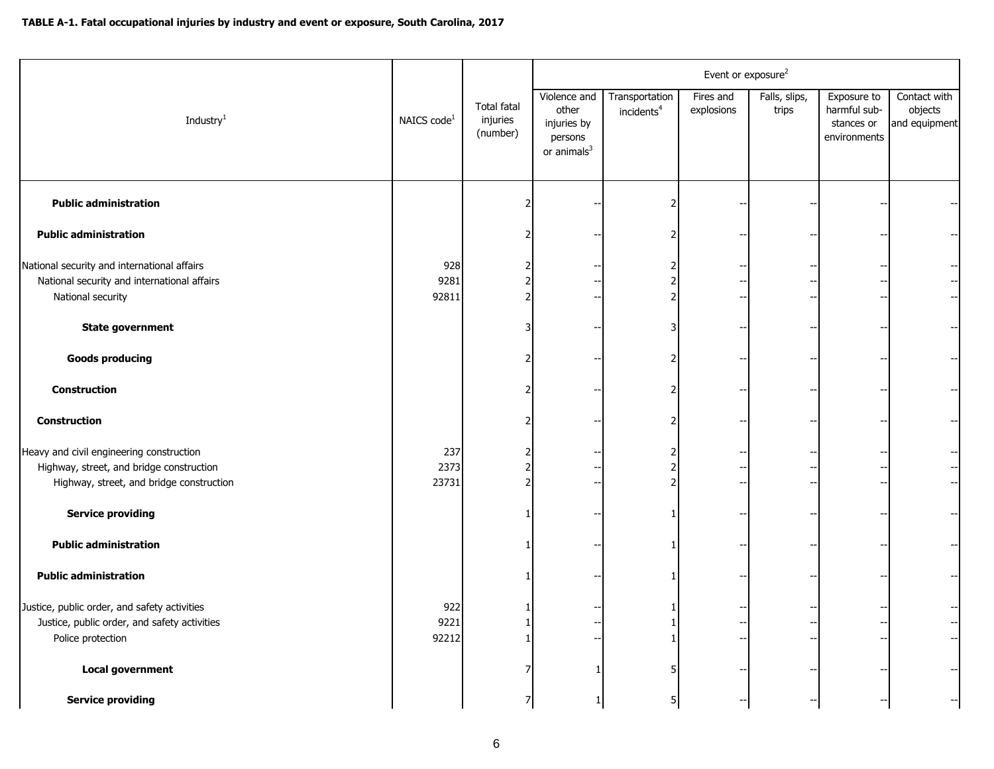|                                                                                                                                  |                         |                                            | Event or exposure <sup>2</sup>                                             |                                          |                         |                        |                                                           |                                          |  |
|----------------------------------------------------------------------------------------------------------------------------------|-------------------------|--------------------------------------------|----------------------------------------------------------------------------|------------------------------------------|-------------------------|------------------------|-----------------------------------------------------------|------------------------------------------|--|
| Industry <sup>1</sup>                                                                                                            | NAICS code <sup>1</sup> | <b>Total fatal</b><br>injuries<br>(number) | Violence and<br>other<br>injuries by<br>persons<br>or animals <sup>3</sup> | Transportation<br>incidents <sup>4</sup> | Fires and<br>explosions | Falls, slips,<br>trips | Exposure to<br>harmful sub-<br>stances or<br>environments | Contact with<br>objects<br>and equipment |  |
| <b>Public administration</b>                                                                                                     |                         |                                            |                                                                            |                                          |                         |                        |                                                           |                                          |  |
| <b>Public administration</b>                                                                                                     |                         |                                            |                                                                            |                                          |                         |                        |                                                           |                                          |  |
| National security and international affairs<br>National security and international affairs<br>National security                  | 928<br>9281<br>92811    |                                            |                                                                            |                                          |                         |                        |                                                           | $\left  - \right $<br>$-$                |  |
| <b>State government</b>                                                                                                          |                         |                                            |                                                                            |                                          |                         |                        |                                                           |                                          |  |
| <b>Goods producing</b>                                                                                                           |                         |                                            |                                                                            |                                          |                         |                        |                                                           |                                          |  |
| Construction                                                                                                                     |                         |                                            |                                                                            |                                          |                         |                        |                                                           |                                          |  |
| <b>Construction</b>                                                                                                              |                         |                                            |                                                                            |                                          |                         |                        |                                                           |                                          |  |
| Heavy and civil engineering construction<br>Highway, street, and bridge construction<br>Highway, street, and bridge construction | 237<br>2373<br>23731    |                                            |                                                                            |                                          |                         |                        |                                                           |                                          |  |
| <b>Service providing</b>                                                                                                         |                         |                                            |                                                                            |                                          |                         |                        |                                                           |                                          |  |
| <b>Public administration</b>                                                                                                     |                         |                                            |                                                                            |                                          |                         |                        |                                                           |                                          |  |
| <b>Public administration</b>                                                                                                     |                         |                                            |                                                                            |                                          |                         |                        |                                                           | $\overline{\phantom{a}}$                 |  |
| Justice, public order, and safety activities<br>Justice, public order, and safety activities<br>Police protection                | 922<br>9221<br>92212    |                                            |                                                                            |                                          |                         |                        |                                                           | $-$                                      |  |
| <b>Local government</b>                                                                                                          |                         |                                            |                                                                            |                                          |                         |                        |                                                           |                                          |  |
| <b>Service providing</b>                                                                                                         |                         |                                            |                                                                            |                                          |                         |                        |                                                           |                                          |  |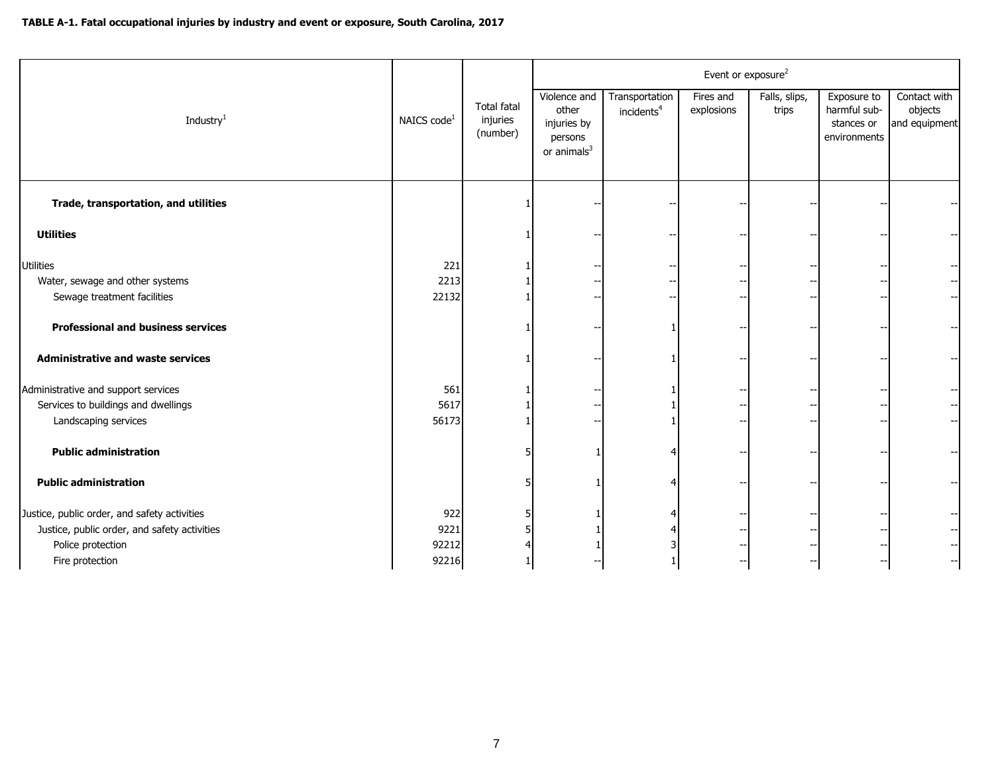|                                              |                         |                                            | Event or exposure <sup>2</sup>                                    |                                          |                         |                        |                                                           |                                          |  |
|----------------------------------------------|-------------------------|--------------------------------------------|-------------------------------------------------------------------|------------------------------------------|-------------------------|------------------------|-----------------------------------------------------------|------------------------------------------|--|
| Industry <sup>1</sup>                        | NAICS code <sup>1</sup> | <b>Total fatal</b><br>injuries<br>(number) | Violence and<br>other<br>injuries by<br>persons<br>or animals $3$ | Transportation<br>incidents <sup>4</sup> | Fires and<br>explosions | Falls, slips,<br>trips | Exposure to<br>harmful sub-<br>stances or<br>environments | Contact with<br>objects<br>and equipment |  |
| Trade, transportation, and utilities         |                         |                                            |                                                                   |                                          |                         |                        |                                                           |                                          |  |
| <b>Utilities</b>                             |                         |                                            |                                                                   |                                          |                         |                        |                                                           |                                          |  |
| Utilities                                    | 221                     |                                            |                                                                   |                                          |                         |                        |                                                           |                                          |  |
| Water, sewage and other systems              | 2213                    |                                            |                                                                   |                                          |                         |                        |                                                           | $\left  - \right $                       |  |
| Sewage treatment facilities                  | 22132                   |                                            |                                                                   |                                          |                         |                        |                                                           |                                          |  |
| <b>Professional and business services</b>    |                         |                                            |                                                                   |                                          |                         |                        |                                                           |                                          |  |
| <b>Administrative and waste services</b>     |                         |                                            |                                                                   |                                          |                         |                        |                                                           |                                          |  |
| Administrative and support services          | 561                     |                                            |                                                                   |                                          |                         |                        |                                                           |                                          |  |
| Services to buildings and dwellings          | 5617                    |                                            |                                                                   |                                          |                         |                        |                                                           |                                          |  |
| Landscaping services                         | 56173                   |                                            |                                                                   |                                          |                         |                        |                                                           | $--$                                     |  |
| <b>Public administration</b>                 |                         |                                            |                                                                   |                                          |                         |                        |                                                           |                                          |  |
| <b>Public administration</b>                 |                         |                                            |                                                                   |                                          |                         |                        |                                                           |                                          |  |
| Justice, public order, and safety activities | 922                     |                                            |                                                                   |                                          |                         |                        |                                                           |                                          |  |
| Justice, public order, and safety activities | 9221                    |                                            |                                                                   |                                          |                         |                        |                                                           |                                          |  |
| Police protection                            | 92212                   |                                            |                                                                   |                                          |                         |                        |                                                           |                                          |  |
| Fire protection                              | 92216                   |                                            |                                                                   |                                          |                         |                        |                                                           | $\overline{\phantom{a}}$                 |  |